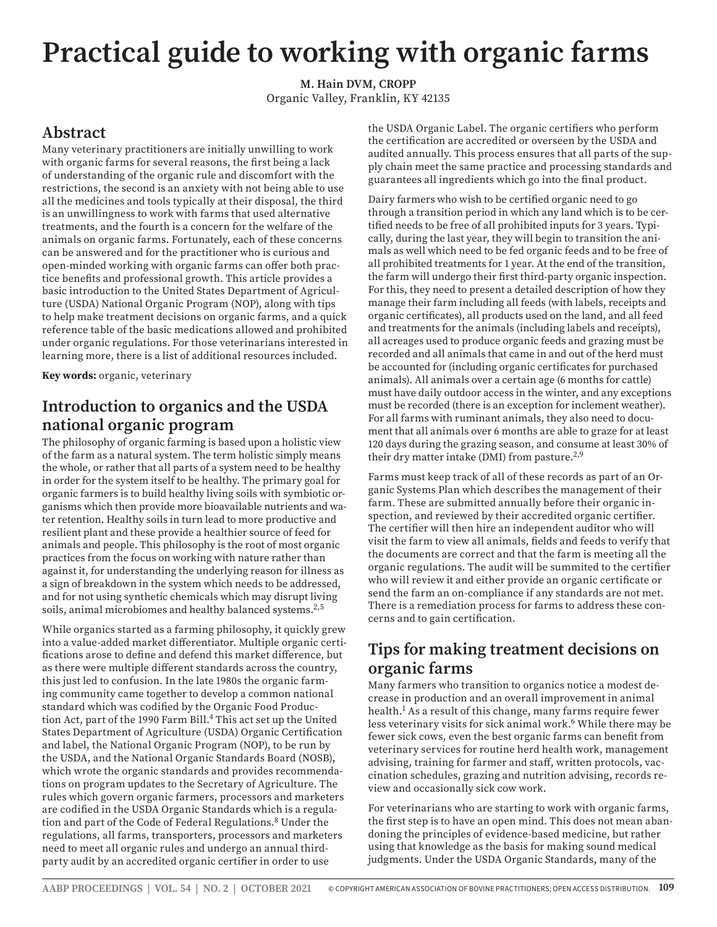# **Practical guide to working with organic farms**

**M. Hain DVM, CROPP** Organic Valley, Franklin, KY 42135

# **Abstract**

Many veterinary practitioners are initially unwilling to work with organic farms for several reasons, the first being a lack of understanding of the organic rule and discomfort with the restrictions, the second is an anxiety with not being able to use all the medicines and tools typically at their disposal, the third is an unwillingness to work with farms that used alternative treatments, and the fourth is a concern for the welfare of the animals on organic farms. Fortunately, each of these concerns can be answered and for the practitioner who is curious and open-minded working with organic farms can offer both practice benefits and professional growth. This article provides a basic introduction to the United States Department of Agriculture (USDA) National Organic Program (NOP), along with tips to help make treatment decisions on organic farms, and a quick reference table of the basic medications allowed and prohibited under organic regulations. For those veterinarians interested in learning more, there is a list of additional resources included.

**Key words:** organic, veterinary

# **Introduction to organics and the USDA national organic program**

The philosophy of organic farming is based upon a holistic view of the farm as a natural system. The term holistic simply means the whole, or rather that all parts of a system need to be healthy in order for the system itself to be healthy. The primary goal for organic farmers is to build healthy living soils with symbiotic organisms which then provide more bioavailable nutrients and water retention. Healthy soils in turn lead to more productive and resilient plant and these provide a healthier source of feed for animals and people. This philosophy is the root of most organic practices from the focus on working with nature rather than against it, for understanding the underlying reason for illness as a sign of breakdown in the system which needs to be addressed, and for not using synthetic chemicals which may disrupt living soils, animal microbiomes and healthy balanced systems.<sup>2,5</sup>

While organics started as a farming philosophy, it quickly grew into a value-added market differentiator. Multiple organic certifications arose to define and defend this market difference, but as there were multiple different standards across the country, this just led to confusion. In the late 1980s the organic farming community came together to develop a common national standard which was codified by the Organic Food Production Act, part of the 1990 Farm Bill.<sup>4</sup> This act set up the United States Department of Agriculture (USDA) Organic Certification and label, the National Organic Program (NOP), to be run by the USDA, and the National Organic Standards Board (NOSB), which wrote the organic standards and provides recommendations on program updates to the Secretary of Agriculture. The rules which govern organic farmers, processors and marketers are codified in the USDA Organic Standards which is a regulation and part of the Code of Federal Regulations.8 Under the regulations, all farms, transporters, processors and marketers need to meet all organic rules and undergo an annual thirdparty audit by an accredited organic certifier in order to use

the USDA Organic Label. The organic certifiers who perform the certification are accredited or overseen by the USDA and audited annually. This process ensures that all parts of the supply chain meet the same practice and processing standards and guarantees all ingredients which go into the final product.

Dairy farmers who wish to be certified organic need to go through a transition period in which any land which is to be certified needs to be free of all prohibited inputs for 3 years. Typically, during the last year, they will begin to transition the animals as well which need to be fed organic feeds and to be free of all prohibited treatments for 1 year. At the end of the transition, the farm will undergo their first third-party organic inspection. For this, they need to present a detailed description of how they manage their farm including all feeds (with labels, receipts and organic certificates), all products used on the land, and all feed and treatments for the animals (including labels and receipts), all acreages used to produce organic feeds and grazing must be recorded and all animals that came in and out of the herd must be accounted for (including organic certificates for purchased animals). All animals over a certain age (6 months for cattle) must have daily outdoor access in the winter, and any exceptions must be recorded (there is an exception for inclement weather). For all farms with ruminant animals, they also need to document that all animals over 6 months are able to graze for at least 120 days during the grazing season, and consume at least 30% of their dry matter intake (DMI) from pasture.<sup>2,9</sup>

Farms must keep track of all of these records as part of an Organic Systems Plan which describes the management of their farm. These are submitted annually before their organic inspection, and reviewed by their accredited organic certifier. The certifier will then hire an independent auditor who will visit the farm to view all animals, fields and feeds to verify that the documents are correct and that the farm is meeting all the organic regulations. The audit will be summited to the certifier who will review it and either provide an organic certificate or send the farm an on-compliance if any standards are not met. There is a remediation process for farms to address these concerns and to gain certification.

## **Tips for making treatment decisions on organic farms**

Many farmers who transition to organics notice a modest decrease in production and an overall improvement in animal health.1 As a result of this change, many farms require fewer less veterinary visits for sick animal work.<sup>6</sup> While there may be fewer sick cows, even the best organic farms can benefit from veterinary services for routine herd health work, management advising, training for farmer and staff, written protocols, vaccination schedules, grazing and nutrition advising, records review and occasionally sick cow work.

For veterinarians who are starting to work with organic farms, the first step is to have an open mind. This does not mean abandoning the principles of evidence-based medicine, but rather using that knowledge as the basis for making sound medical judgments. Under the USDA Organic Standards, many of the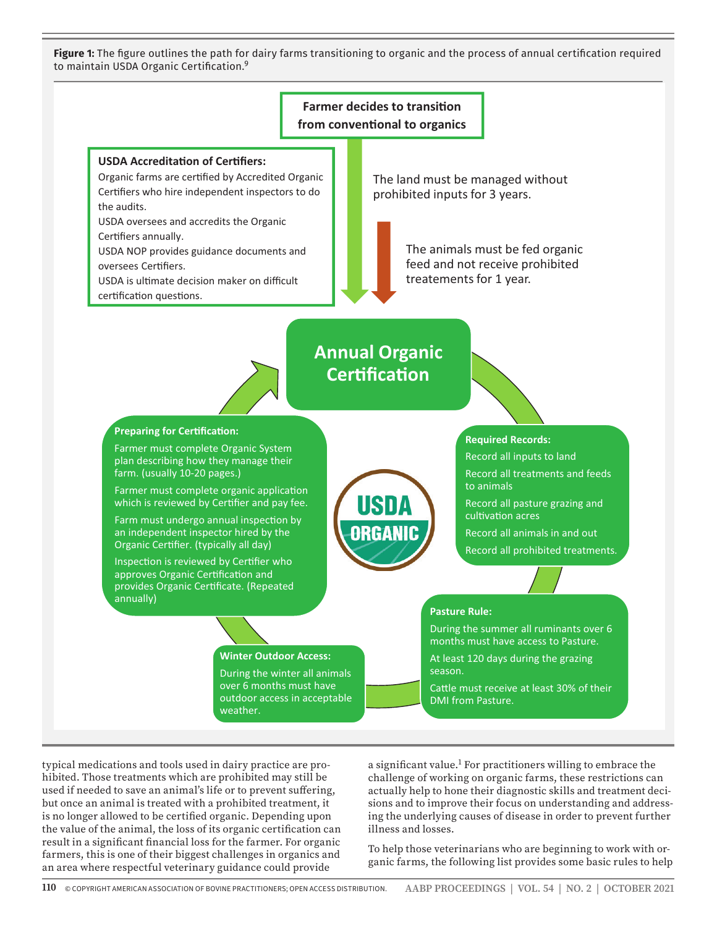**Figure 1:** The figure outlines the path for dairy farms transitioning to organic and the process of annual certification required to maintain USDA Organic Certification.9



typical medications and tools used in dairy practice are prohibited. Those treatments which are prohibited may still be used if needed to save an animal's life or to prevent suffering, but once an animal is treated with a prohibited treatment, it is no longer allowed to be certified organic. Depending upon the value of the animal, the loss of its organic certification can result in a significant financial loss for the farmer. For organic farmers, this is one of their biggest challenges in organics and an area where respectful veterinary guidance could provide

a significant value.<sup>1</sup> For practitioners willing to embrace the challenge of working on organic farms, these restrictions can actually help to hone their diagnostic skills and treatment decisions and to improve their focus on understanding and addressing the underlying causes of disease in order to prevent further illness and losses.

To help those veterinarians who are beginning to work with organic farms, the following list provides some basic rules to help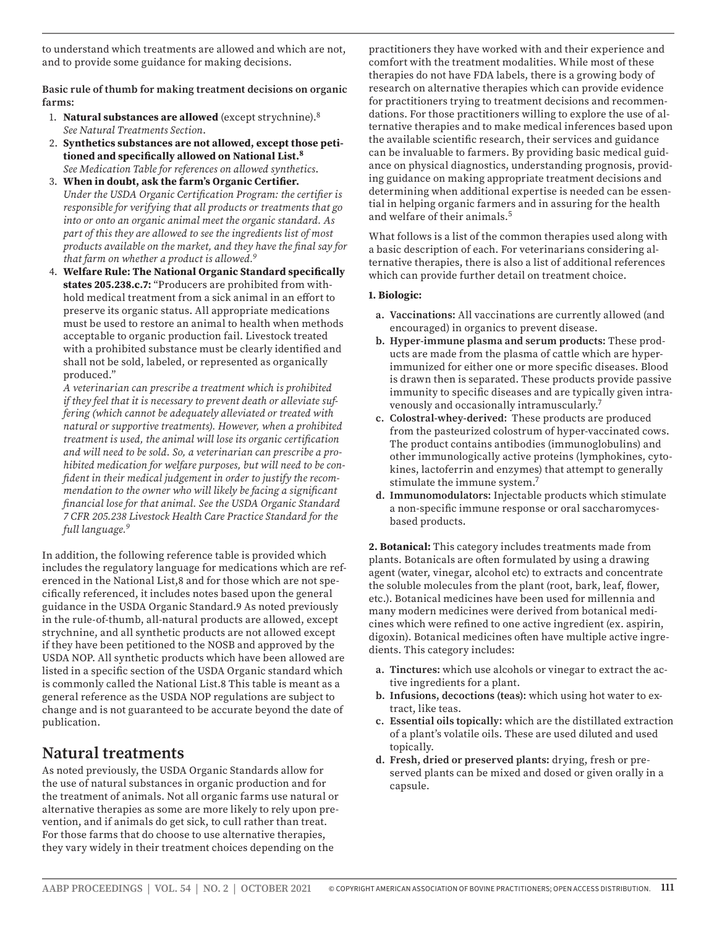to understand which treatments are allowed and which are not, and to provide some guidance for making decisions.

**Basic rule of thumb for making treatment decisions on organic farms:** 

- 1. **Natural substances are allowed** (except strychnine).8 *See Natural Treatments Section*.
- 2. **Synthetics substances are not allowed, except those petitioned and specifically allowed on National List.<sup>8</sup>** *See Medication Table for references on allowed synthetics*.
- 3. **When in doubt, ask the farm's Organic Certifier.** *Under the USDA Organic Certification Program: the certifier is responsible for verifying that all products or treatments that go into or onto an organic animal meet the organic standard. As part of this they are allowed to see the ingredients list of most products available on the market, and they have the final say for that farm on whether a product is allowed.9*
- 4. **Welfare Rule: The National Organic Standard specifically states 205.238.c.7:** "Producers are prohibited from withhold medical treatment from a sick animal in an effort to preserve its organic status. All appropriate medications must be used to restore an animal to health when methods acceptable to organic production fail. Livestock treated with a prohibited substance must be clearly identified and shall not be sold, labeled, or represented as organically produced."

*A veterinarian can prescribe a treatment which is prohibited if they feel that it is necessary to prevent death or alleviate suffering (which cannot be adequately alleviated or treated with natural or supportive treatments). However, when a prohibited treatment is used, the animal will lose its organic certification and will need to be sold. So, a veterinarian can prescribe a prohibited medication for welfare purposes, but will need to be confident in their medical judgement in order to justify the recommendation to the owner who will likely be facing a significant financial lose for that animal. See the USDA Organic Standard 7 CFR 205.238 Livestock Health Care Practice Standard for the full language.9* 

In addition, the following reference table is provided which includes the regulatory language for medications which are referenced in the National List,8 and for those which are not specifically referenced, it includes notes based upon the general guidance in the USDA Organic Standard.9 As noted previously in the rule-of-thumb, all-natural products are allowed, except strychnine, and all synthetic products are not allowed except if they have been petitioned to the NOSB and approved by the USDA NOP. All synthetic products which have been allowed are listed in a specific section of the USDA Organic standard which is commonly called the National List.8 This table is meant as a general reference as the USDA NOP regulations are subject to change and is not guaranteed to be accurate beyond the date of publication.

# **Natural treatments**

As noted previously, the USDA Organic Standards allow for the use of natural substances in organic production and for the treatment of animals. Not all organic farms use natural or alternative therapies as some are more likely to rely upon prevention, and if animals do get sick, to cull rather than treat. For those farms that do choose to use alternative therapies, they vary widely in their treatment choices depending on the

practitioners they have worked with and their experience and comfort with the treatment modalities. While most of these therapies do not have FDA labels, there is a growing body of research on alternative therapies which can provide evidence for practitioners trying to treatment decisions and recommendations. For those practitioners willing to explore the use of alternative therapies and to make medical inferences based upon the available scientific research, their services and guidance can be invaluable to farmers. By providing basic medical guidance on physical diagnostics, understanding prognosis, providing guidance on making appropriate treatment decisions and determining when additional expertise is needed can be essential in helping organic farmers and in assuring for the health and welfare of their animals.<sup>5</sup>

What follows is a list of the common therapies used along with a basic description of each. For veterinarians considering alternative therapies, there is also a list of additional references which can provide further detail on treatment choice.

#### **1. Biologic:**

- **a. Vaccinations:** All vaccinations are currently allowed (and encouraged) in organics to prevent disease.
- **b. Hyper-immune plasma and serum products:** These products are made from the plasma of cattle which are hyperimmunized for either one or more specific diseases. Blood is drawn then is separated. These products provide passive immunity to specific diseases and are typically given intravenously and occasionally intramuscularly.7
- **c. Colostral-whey-derived:** These products are produced from the pasteurized colostrum of hyper-vaccinated cows. The product contains antibodies (immunoglobulins) and other immunologically active proteins (lymphokines, cytokines, lactoferrin and enzymes) that attempt to generally stimulate the immune system.7
- **d. Immunomodulators:** Injectable products which stimulate a non-specific immune response or oral saccharomycesbased products.

**2. Botanical:** This category includes treatments made from plants. Botanicals are often formulated by using a drawing agent (water, vinegar, alcohol etc) to extracts and concentrate the soluble molecules from the plant (root, bark, leaf, flower, etc.). Botanical medicines have been used for millennia and many modern medicines were derived from botanical medicines which were refined to one active ingredient (ex. aspirin, digoxin). Botanical medicines often have multiple active ingredients. This category includes:

- **a. Tinctures:** which use alcohols or vinegar to extract the active ingredients for a plant.
- **b. Infusions, decoctions (teas):** which using hot water to extract, like teas.
- **c. Essential oils topically:** which are the distillated extraction of a plant's volatile oils. These are used diluted and used topically.
- **d. Fresh, dried or preserved plants:** drying, fresh or preserved plants can be mixed and dosed or given orally in a capsule.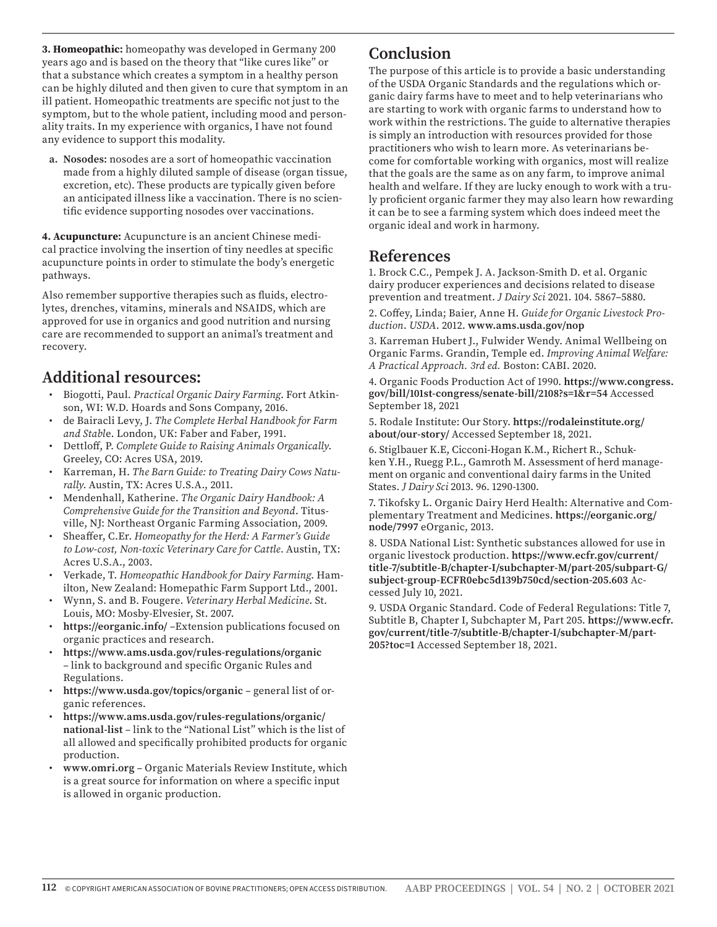**3. Homeopathic:** homeopathy was developed in Germany 200 years ago and is based on the theory that "like cures like" or that a substance which creates a symptom in a healthy person can be highly diluted and then given to cure that symptom in an ill patient. Homeopathic treatments are specific not just to the symptom, but to the whole patient, including mood and personality traits. In my experience with organics, I have not found any evidence to support this modality.

**a. Nosodes:** nosodes are a sort of homeopathic vaccination made from a highly diluted sample of disease (organ tissue, excretion, etc). These products are typically given before an anticipated illness like a vaccination. There is no scientific evidence supporting nosodes over vaccinations.

**4. Acupuncture:** Acupuncture is an ancient Chinese medical practice involving the insertion of tiny needles at specific acupuncture points in order to stimulate the body's energetic pathways.

Also remember supportive therapies such as fluids, electrolytes, drenches, vitamins, minerals and NSAIDS, which are approved for use in organics and good nutrition and nursing care are recommended to support an animal's treatment and recovery.

### **Additional resources:**

- Biogotti, Paul. *Practical Organic Dairy Farming*. Fort Atkinson, WI: W.D. Hoards and Sons Company, 2016.
- de Bairacli Levy, J. *The Complete Herbal Handbook for Farm and Stabl*e. London, UK: Faber and Faber, 1991.
- Dettloff, P. *Complete Guide to Raising Animals Organically*. Greeley, CO: Acres USA, 2019.
- Karreman, H. *The Barn Guide: to Treating Dairy Cows Naturally*. Austin, TX: Acres U.S.A., 2011.
- Mendenhall, Katherine. *The Organic Dairy Handbook: A Comprehensive Guide for the Transition and Beyond*. Titusville, NJ: Northeast Organic Farming Association, 2009.
- Sheaffer, C.Er. *Homeopathy for the Herd: A Farmer's Guide to Low-cost, Non-toxic Veterinary Care for Cattle*. Austin, TX: Acres U.S.A., 2003.
- Verkade, T. *Homeopathic Handbook for Dairy Farming*. Hamilton, New Zealand: Homepathic Farm Support Ltd., 2001.
- Wynn, S. and B. Fougere. *Veterinary Herbal Medicine*. St. Louis, MO: Mosby-Elvesier, St. 2007.
- **https://eorganic.info/** –Extension publications focused on organic practices and research.
- **https://www.ams.usda.gov/rules-regulations/organic** – link to background and specific Organic Rules and Regulations.
- **https://www.usda.gov/topics/organic** general list of organic references.
- **https://www.ams.usda.gov/rules-regulations/organic/ national-list** – link to the "National List" which is the list of all allowed and specifically prohibited products for organic production.
- **www.omri.org** Organic Materials Review Institute, which is a great source for information on where a specific input is allowed in organic production.

# **Conclusion**

The purpose of this article is to provide a basic understanding of the USDA Organic Standards and the regulations which organic dairy farms have to meet and to help veterinarians who are starting to work with organic farms to understand how to work within the restrictions. The guide to alternative therapies is simply an introduction with resources provided for those practitioners who wish to learn more. As veterinarians become for comfortable working with organics, most will realize that the goals are the same as on any farm, to improve animal health and welfare. If they are lucky enough to work with a truly proficient organic farmer they may also learn how rewarding it can be to see a farming system which does indeed meet the organic ideal and work in harmony.

## **References**

1. Brock C.C., Pempek J. A. Jackson-Smith D. et al. Organic dairy producer experiences and decisions related to disease prevention and treatment. *J Dairy Sci* 2021. 104. 5867–5880.

2. Coffey, Linda; Baier, Anne H. *Guide for Organic Livestock Production*. *USDA*. 2012. **www.ams.usda.gov/nop**

3. Karreman Hubert J., Fulwider Wendy. Animal Wellbeing on Organic Farms. Grandin, Temple ed. *Improving Animal Welfare: A Practical Approach. 3rd ed.* Boston: CABI. 2020.

4. Organic Foods Production Act of 1990. **https://www.congress. gov/bill/101st-congress/senate-bill/2108?s=1&r=54** Accessed September 18, 2021

5. Rodale Institute: Our Story. **https://rodaleinstitute.org/ about/our-story/** Accessed September 18, 2021.

6. Stiglbauer K.E, Cicconi-Hogan K.M., Richert R., Schukken Y.H., Ruegg P.L., Gamroth M. Assessment of herd management on organic and conventional dairy farms in the United States. *J Dairy Sci* 2013. 96. 1290-1300.

7. Tikofsky L. Organic Dairy Herd Health: Alternative and Complementary Treatment and Medicines. **https://eorganic.org/ node/7997** eOrganic, 2013.

8. USDA National List: Synthetic substances allowed for use in organic livestock production. **https://www.ecfr.gov/current/ title-7/subtitle-B/chapter-I/subchapter-M/part-205/subpart-G/ subject-group-ECFR0ebc5d139b750cd/section-205.603** Accessed July 10, 2021.

9. USDA Organic Standard. Code of Federal Regulations: Title 7, Subtitle B, Chapter I, Subchapter M, Part 205. **https://www.ecfr. gov/current/title-7/subtitle-B/chapter-I/subchapter-M/part-205?toc=1** Accessed September 18, 2021.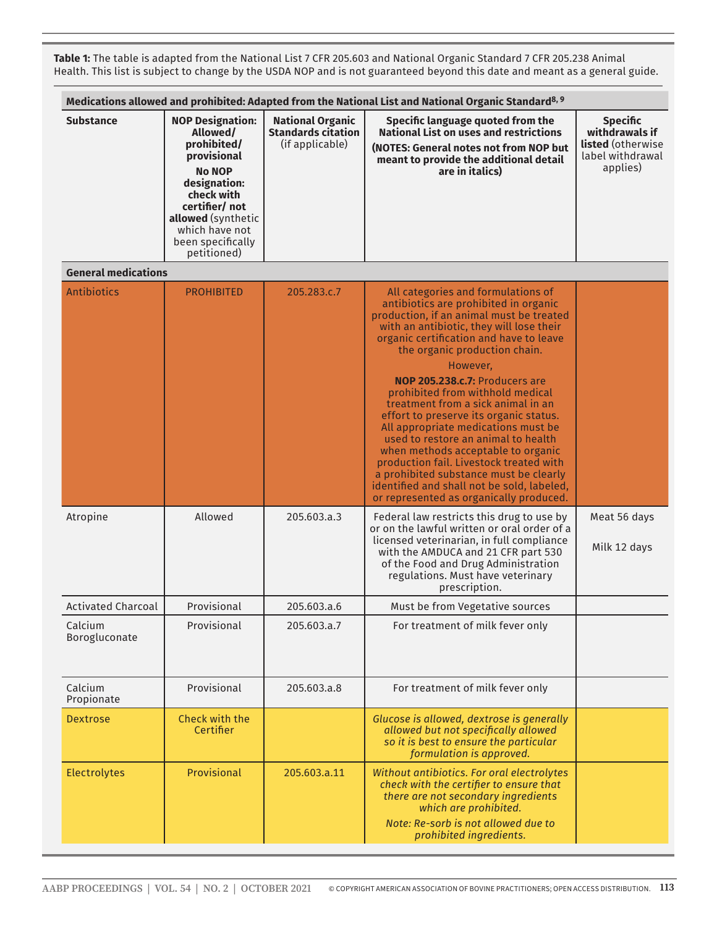**Table 1:** The table is adapted from the National List 7 CFR 205.603 and National Organic Standard 7 CFR 205.238 Animal Health. This list is subject to change by the USDA NOP and is not guaranteed beyond this date and meant as a general guide.

| Medications allowed and prohibited: Adapted from the National List and National Organic Standard <sup>8, 9</sup> |                                                                                                                                                                                                                |                                                                         |                                                                                                                                                                                                                                                                                                                                                                                                                                                                                                                                                                                                                                                                                                                            |                                                                                        |
|------------------------------------------------------------------------------------------------------------------|----------------------------------------------------------------------------------------------------------------------------------------------------------------------------------------------------------------|-------------------------------------------------------------------------|----------------------------------------------------------------------------------------------------------------------------------------------------------------------------------------------------------------------------------------------------------------------------------------------------------------------------------------------------------------------------------------------------------------------------------------------------------------------------------------------------------------------------------------------------------------------------------------------------------------------------------------------------------------------------------------------------------------------------|----------------------------------------------------------------------------------------|
| <b>Substance</b>                                                                                                 | <b>NOP Designation:</b><br>Allowed/<br>prohibited/<br>provisional<br><b>No NOP</b><br>designation:<br>check with<br>certifier/ not<br>allowed (synthetic<br>which have not<br>been specifically<br>petitioned) | <b>National Organic</b><br><b>Standards citation</b><br>(if applicable) | Specific language quoted from the<br><b>National List on uses and restrictions</b><br>(NOTES: General notes not from NOP but<br>meant to provide the additional detail<br>are in italics)                                                                                                                                                                                                                                                                                                                                                                                                                                                                                                                                  | <b>Specific</b><br>withdrawals if<br>listed (otherwise<br>label withdrawal<br>applies) |
| <b>General medications</b>                                                                                       |                                                                                                                                                                                                                |                                                                         |                                                                                                                                                                                                                                                                                                                                                                                                                                                                                                                                                                                                                                                                                                                            |                                                                                        |
| Antibiotics                                                                                                      | <b>PROHIBITED</b>                                                                                                                                                                                              | 205.283.c.7                                                             | All categories and formulations of<br>antibiotics are prohibited in organic<br>production, if an animal must be treated<br>with an antibiotic, they will lose their<br>organic certification and have to leave<br>the organic production chain.<br>However,<br><b>NOP 205.238.c.7: Producers are</b><br>prohibited from withhold medical<br>treatment from a sick animal in an<br>effort to preserve its organic status.<br>All appropriate medications must be<br>used to restore an animal to health<br>when methods acceptable to organic<br>production fail. Livestock treated with<br>a prohibited substance must be clearly<br>identified and shall not be sold, labeled,<br>or represented as organically produced. |                                                                                        |
| Atropine                                                                                                         | Allowed                                                                                                                                                                                                        | 205.603.a.3                                                             | Federal law restricts this drug to use by<br>or on the lawful written or oral order of a<br>licensed veterinarian, in full compliance<br>with the AMDUCA and 21 CFR part 530<br>of the Food and Drug Administration<br>regulations. Must have veterinary<br>prescription.                                                                                                                                                                                                                                                                                                                                                                                                                                                  | Meat 56 days<br>Milk 12 days                                                           |
| <b>Activated Charcoal</b>                                                                                        | Provisional                                                                                                                                                                                                    | 205.603.a.6                                                             | Must be from Vegetative sources                                                                                                                                                                                                                                                                                                                                                                                                                                                                                                                                                                                                                                                                                            |                                                                                        |
| Calcium<br>Borogluconate                                                                                         | Provisional                                                                                                                                                                                                    | 205.603.a.7                                                             | For treatment of milk fever only                                                                                                                                                                                                                                                                                                                                                                                                                                                                                                                                                                                                                                                                                           |                                                                                        |
| Calcium<br>Propionate                                                                                            | Provisional                                                                                                                                                                                                    | 205.603.a.8                                                             | For treatment of milk fever only                                                                                                                                                                                                                                                                                                                                                                                                                                                                                                                                                                                                                                                                                           |                                                                                        |
| <b>Dextrose</b>                                                                                                  | Check with the<br>Certifier                                                                                                                                                                                    |                                                                         | Glucose is allowed, dextrose is generally<br>allowed but not specifically allowed<br>so it is best to ensure the particular<br>formulation is approved.                                                                                                                                                                                                                                                                                                                                                                                                                                                                                                                                                                    |                                                                                        |
| Electrolytes                                                                                                     | Provisional                                                                                                                                                                                                    | 205.603.a.11                                                            | Without antibiotics. For oral electrolytes<br>check with the certifier to ensure that<br>there are not secondary ingredients<br>which are prohibited.<br>Note: Re-sorb is not allowed due to<br>prohibited ingredients.                                                                                                                                                                                                                                                                                                                                                                                                                                                                                                    |                                                                                        |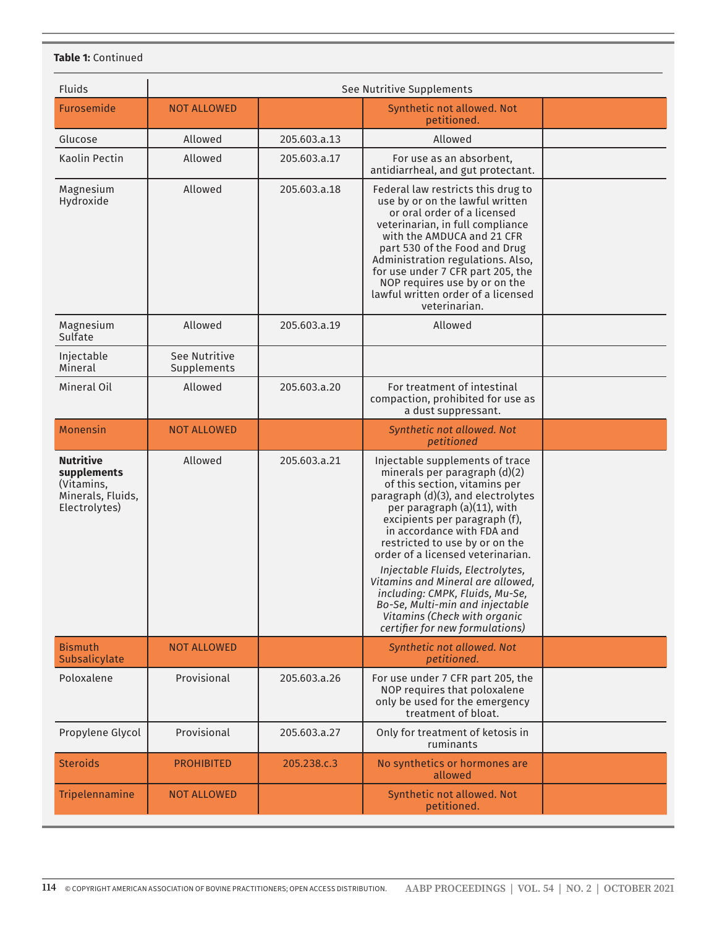#### **Table 1:** Continued

| <b>Fluids</b>                                                                       |                              |              | See Nutritive Supplements                                                                                                                                                                                                                                                                                                                                                                                                                                                                                                      |  |
|-------------------------------------------------------------------------------------|------------------------------|--------------|--------------------------------------------------------------------------------------------------------------------------------------------------------------------------------------------------------------------------------------------------------------------------------------------------------------------------------------------------------------------------------------------------------------------------------------------------------------------------------------------------------------------------------|--|
| <b>Furosemide</b>                                                                   | <b>NOT ALLOWED</b>           |              | Synthetic not allowed. Not                                                                                                                                                                                                                                                                                                                                                                                                                                                                                                     |  |
|                                                                                     |                              |              | petitioned.                                                                                                                                                                                                                                                                                                                                                                                                                                                                                                                    |  |
| Glucose                                                                             | Allowed                      | 205.603.a.13 | Allowed                                                                                                                                                                                                                                                                                                                                                                                                                                                                                                                        |  |
| Kaolin Pectin                                                                       | Allowed                      | 205.603.a.17 | For use as an absorbent,<br>antidiarrheal, and gut protectant.                                                                                                                                                                                                                                                                                                                                                                                                                                                                 |  |
| Magnesium<br>Hydroxide                                                              | Allowed                      | 205.603.a.18 | Federal law restricts this drug to<br>use by or on the lawful written<br>or oral order of a licensed<br>veterinarian, in full compliance<br>with the AMDUCA and 21 CFR<br>part 530 of the Food and Drug<br>Administration regulations. Also,<br>for use under 7 CFR part 205, the<br>NOP requires use by or on the<br>lawful written order of a licensed<br>veterinarian.                                                                                                                                                      |  |
| Magnesium<br>Sulfate                                                                | Allowed                      | 205.603.a.19 | Allowed                                                                                                                                                                                                                                                                                                                                                                                                                                                                                                                        |  |
| Injectable<br>Mineral                                                               | See Nutritive<br>Supplements |              |                                                                                                                                                                                                                                                                                                                                                                                                                                                                                                                                |  |
| Mineral Oil                                                                         | Allowed                      | 205.603.a.20 | For treatment of intestinal<br>compaction, prohibited for use as<br>a dust suppressant.                                                                                                                                                                                                                                                                                                                                                                                                                                        |  |
| <b>Monensin</b>                                                                     | <b>NOT ALLOWED</b>           |              | Synthetic not allowed. Not<br>petitioned                                                                                                                                                                                                                                                                                                                                                                                                                                                                                       |  |
| <b>Nutritive</b><br>supplements<br>(Vitamins,<br>Minerals, Fluids,<br>Electrolytes) | Allowed                      | 205.603.a.21 | Injectable supplements of trace<br>minerals per paragraph (d)(2)<br>of this section, vitamins per<br>paragraph (d)(3), and electrolytes<br>per paragraph (a)(11), with<br>excipients per paragraph (f),<br>in accordance with FDA and<br>restricted to use by or on the<br>order of a licensed veterinarian.<br>Injectable Fluids, Electrolytes,<br>Vitamins and Mineral are allowed,<br>including: CMPK, Fluids, Mu-Se,<br>Bo-Se, Multi-min and injectable<br>Vitamins (Check with organic<br>certifier for new formulations) |  |
| <b>Bismuth</b><br>Subsalicylate                                                     | <b>NOT ALLOWED</b>           |              | Synthetic not allowed. Not<br>petitioned.                                                                                                                                                                                                                                                                                                                                                                                                                                                                                      |  |
| Poloxalene                                                                          | Provisional                  | 205.603.a.26 | For use under 7 CFR part 205, the<br>NOP requires that poloxalene<br>only be used for the emergency<br>treatment of bloat.                                                                                                                                                                                                                                                                                                                                                                                                     |  |
| Propylene Glycol                                                                    | Provisional                  | 205.603.a.27 | Only for treatment of ketosis in<br>ruminants                                                                                                                                                                                                                                                                                                                                                                                                                                                                                  |  |
| <b>Steroids</b>                                                                     | <b>PROHIBITED</b>            | 205.238.c.3  | No synthetics or hormones are<br>allowed                                                                                                                                                                                                                                                                                                                                                                                                                                                                                       |  |
| Tripelennamine                                                                      | <b>NOT ALLOWED</b>           |              | Synthetic not allowed. Not<br>petitioned.                                                                                                                                                                                                                                                                                                                                                                                                                                                                                      |  |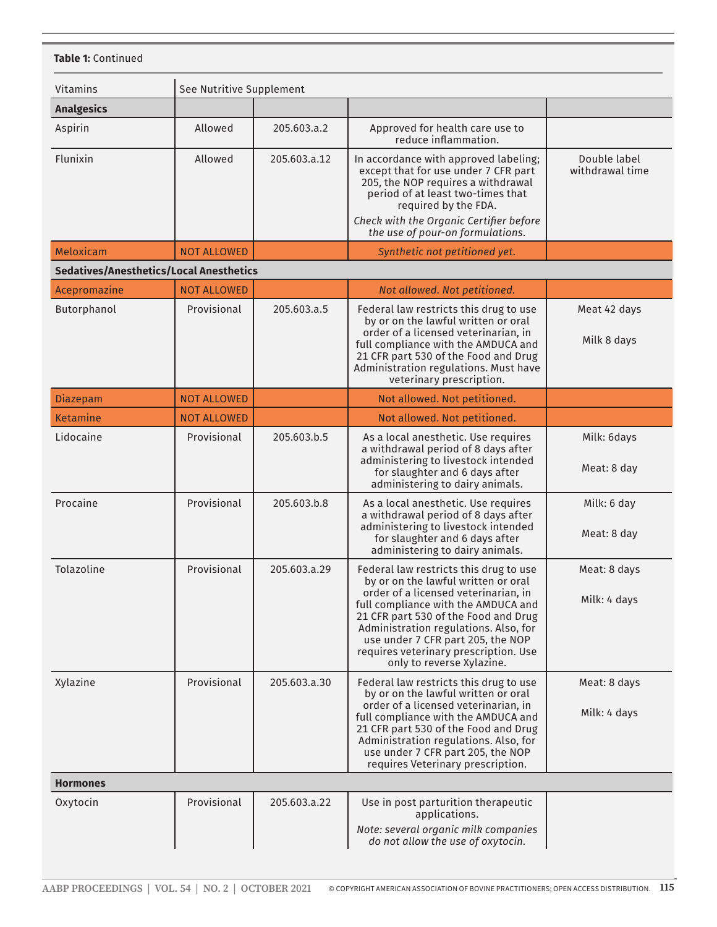| Vitamins<br><b>Analgesics</b> | See Nutritive Supplement                       |              |                                                                                                                                                                                                                                                                                                                                                          |                                 |
|-------------------------------|------------------------------------------------|--------------|----------------------------------------------------------------------------------------------------------------------------------------------------------------------------------------------------------------------------------------------------------------------------------------------------------------------------------------------------------|---------------------------------|
| Aspirin                       | Allowed                                        | 205.603.a.2  | Approved for health care use to<br>reduce inflammation.                                                                                                                                                                                                                                                                                                  |                                 |
| Flunixin                      | Allowed                                        | 205.603.a.12 | In accordance with approved labeling;<br>except that for use under 7 CFR part<br>205, the NOP requires a withdrawal<br>period of at least two-times that<br>required by the FDA.<br>Check with the Organic Certifier before<br>the use of pour-on formulations.                                                                                          | Double label<br>withdrawal time |
| Meloxicam                     | <b>NOT ALLOWED</b>                             |              | Synthetic not petitioned yet.                                                                                                                                                                                                                                                                                                                            |                                 |
|                               | <b>Sedatives/Anesthetics/Local Anesthetics</b> |              |                                                                                                                                                                                                                                                                                                                                                          |                                 |
| Acepromazine                  | <b>NOT ALLOWED</b>                             |              | Not allowed. Not petitioned.                                                                                                                                                                                                                                                                                                                             |                                 |
| Butorphanol                   | Provisional                                    | 205.603.a.5  | Federal law restricts this drug to use<br>by or on the lawful written or oral<br>order of a licensed veterinarian, in<br>full compliance with the AMDUCA and<br>21 CFR part 530 of the Food and Drug<br>Administration regulations. Must have<br>veterinary prescription.                                                                                | Meat 42 days<br>Milk 8 days     |
| Diazepam                      | <b>NOT ALLOWED</b>                             |              | Not allowed. Not petitioned.                                                                                                                                                                                                                                                                                                                             |                                 |
| Ketamine                      | <b>NOT ALLOWED</b>                             |              | Not allowed. Not petitioned.                                                                                                                                                                                                                                                                                                                             |                                 |
| Lidocaine                     | Provisional                                    | 205.603.b.5  | As a local anesthetic. Use requires<br>a withdrawal period of 8 days after<br>administering to livestock intended<br>for slaughter and 6 days after<br>administering to dairy animals.                                                                                                                                                                   | Milk: 6days<br>Meat: 8 day      |
| Procaine                      | Provisional                                    | 205.603.b.8  | As a local anesthetic. Use requires<br>a withdrawal period of 8 days after<br>administering to livestock intended<br>for slaughter and 6 days after<br>administering to dairy animals.                                                                                                                                                                   | Milk: 6 day<br>Meat: 8 day      |
| Tolazoline                    | Provisional                                    | 205.603.a.29 | Federal law restricts this drug to use<br>by or on the lawful written or oral<br>order of a licensed veterinarian, in<br>full compliance with the AMDUCA and<br>21 CFR part 530 of the Food and Drug<br>Administration regulations. Also, for<br>use under 7 CFR part 205, the NOP<br>requires veterinary prescription. Use<br>only to reverse Xylazine. | Meat: 8 days<br>Milk: 4 days    |
| Xylazine                      | Provisional                                    | 205.603.a.30 | Federal law restricts this drug to use<br>by or on the lawful written or oral<br>order of a licensed veterinarian, in<br>full compliance with the AMDUCA and<br>21 CFR part 530 of the Food and Drug<br>Administration regulations. Also, for<br>use under 7 CFR part 205, the NOP<br>requires Veterinary prescription.                                  | Meat: 8 days<br>Milk: 4 days    |
| <b>Hormones</b>               |                                                |              |                                                                                                                                                                                                                                                                                                                                                          |                                 |
| Oxytocin                      | Provisional                                    | 205.603.a.22 | Use in post parturition therapeutic<br>applications.<br>Note: several organic milk companies<br>do not allow the use of oxytocin.                                                                                                                                                                                                                        |                                 |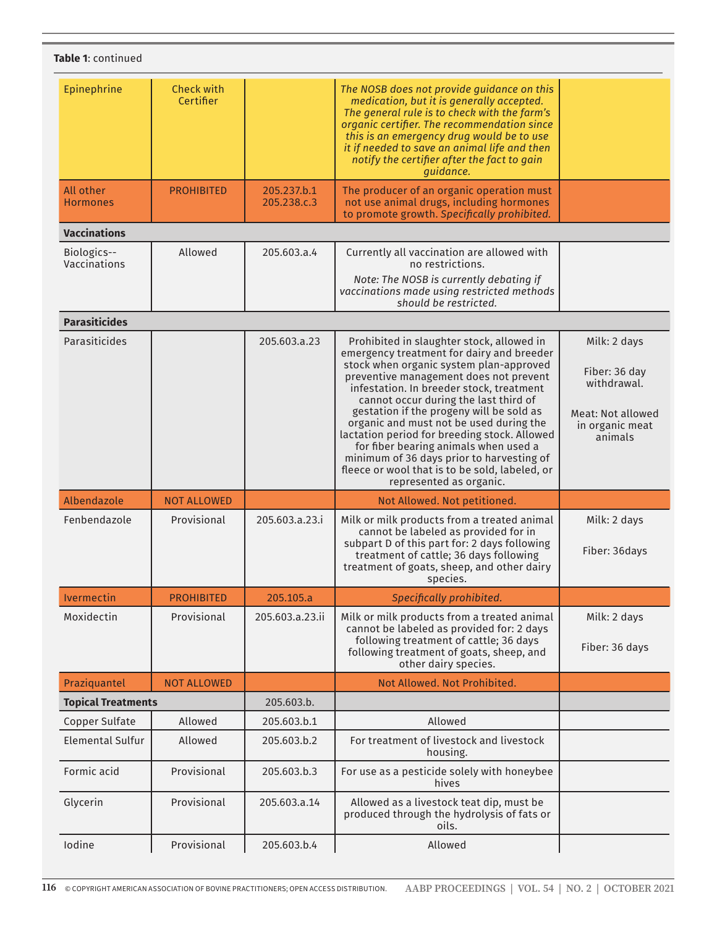| Table 1: continued           |                                |                            |                                                                                                                                                                                                                                                                                                                                                                                                                                                                                                                                                                            |                                                                                                        |
|------------------------------|--------------------------------|----------------------------|----------------------------------------------------------------------------------------------------------------------------------------------------------------------------------------------------------------------------------------------------------------------------------------------------------------------------------------------------------------------------------------------------------------------------------------------------------------------------------------------------------------------------------------------------------------------------|--------------------------------------------------------------------------------------------------------|
| Epinephrine                  | <b>Check with</b><br>Certifier |                            | The NOSB does not provide guidance on this<br>medication, but it is generally accepted.<br>The general rule is to check with the farm's<br>organic certifier. The recommendation since<br>this is an emergency drug would be to use<br>it if needed to save an animal life and then<br>notify the certifier after the fact to gain<br>guidance.                                                                                                                                                                                                                            |                                                                                                        |
| All other<br><b>Hormones</b> | <b>PROHIBITED</b>              | 205.237.b.1<br>205.238.c.3 | The producer of an organic operation must<br>not use animal drugs, including hormones<br>to promote growth. Specifically prohibited.                                                                                                                                                                                                                                                                                                                                                                                                                                       |                                                                                                        |
| <b>Vaccinations</b>          |                                |                            |                                                                                                                                                                                                                                                                                                                                                                                                                                                                                                                                                                            |                                                                                                        |
| Biologics--<br>Vaccinations  | Allowed                        | 205.603.a.4                | Currently all vaccination are allowed with<br>no restrictions.<br>Note: The NOSB is currently debating if<br>vaccinations made using restricted methods<br>should be restricted.                                                                                                                                                                                                                                                                                                                                                                                           |                                                                                                        |
| <b>Parasiticides</b>         |                                |                            |                                                                                                                                                                                                                                                                                                                                                                                                                                                                                                                                                                            |                                                                                                        |
| Parasiticides                |                                | 205.603.a.23               | Prohibited in slaughter stock, allowed in<br>emergency treatment for dairy and breeder<br>stock when organic system plan-approved<br>preventive management does not prevent<br>infestation. In breeder stock, treatment<br>cannot occur during the last third of<br>gestation if the progeny will be sold as<br>organic and must not be used during the<br>lactation period for breeding stock. Allowed<br>for fiber bearing animals when used a<br>minimum of 36 days prior to harvesting of<br>fleece or wool that is to be sold, labeled, or<br>represented as organic. | Milk: 2 days<br>Fiber: 36 day<br>withdrawal.<br><b>Meat: Not allowed</b><br>in organic meat<br>animals |
| Albendazole                  | <b>NOT ALLOWED</b>             |                            | Not Allowed. Not petitioned.                                                                                                                                                                                                                                                                                                                                                                                                                                                                                                                                               |                                                                                                        |
| Fenbendazole                 | Provisional                    | 205.603.a.23.i             | Milk or milk products from a treated animal<br>cannot be labeled as provided for in<br>subpart D of this part for: 2 days following<br>treatment of cattle; 36 days following<br>treatment of goats, sheep, and other dairy<br>species.                                                                                                                                                                                                                                                                                                                                    | Milk: 2 days<br>Fiber: 36days                                                                          |
| Ivermectin                   | <b>PROHIBITED</b>              | 205.105.a                  | Specifically prohibited.                                                                                                                                                                                                                                                                                                                                                                                                                                                                                                                                                   |                                                                                                        |
| Moxidectin                   | Provisional                    | 205.603.a.23.ii            | Milk or milk products from a treated animal<br>cannot be labeled as provided for: 2 days<br>following treatment of cattle; 36 days<br>following treatment of goats, sheep, and<br>other dairy species.                                                                                                                                                                                                                                                                                                                                                                     | Milk: 2 days<br>Fiber: 36 days                                                                         |
| Praziquantel                 | <b>NOT ALLOWED</b>             |                            | Not Allowed. Not Prohibited.                                                                                                                                                                                                                                                                                                                                                                                                                                                                                                                                               |                                                                                                        |
| <b>Topical Treatments</b>    |                                | 205.603.b.                 |                                                                                                                                                                                                                                                                                                                                                                                                                                                                                                                                                                            |                                                                                                        |
| <b>Copper Sulfate</b>        | Allowed                        | 205.603.b.1                | Allowed                                                                                                                                                                                                                                                                                                                                                                                                                                                                                                                                                                    |                                                                                                        |
| <b>Elemental Sulfur</b>      | Allowed                        | 205.603.b.2                | For treatment of livestock and livestock<br>housing.                                                                                                                                                                                                                                                                                                                                                                                                                                                                                                                       |                                                                                                        |
| Formic acid                  | Provisional                    | 205.603.b.3                | For use as a pesticide solely with honeybee<br>hives                                                                                                                                                                                                                                                                                                                                                                                                                                                                                                                       |                                                                                                        |
| Glycerin                     | Provisional                    | 205.603.a.14               | Allowed as a livestock teat dip, must be<br>produced through the hydrolysis of fats or<br>oils.                                                                                                                                                                                                                                                                                                                                                                                                                                                                            |                                                                                                        |
| Iodine                       | Provisional                    | 205.603.b.4                | Allowed                                                                                                                                                                                                                                                                                                                                                                                                                                                                                                                                                                    |                                                                                                        |